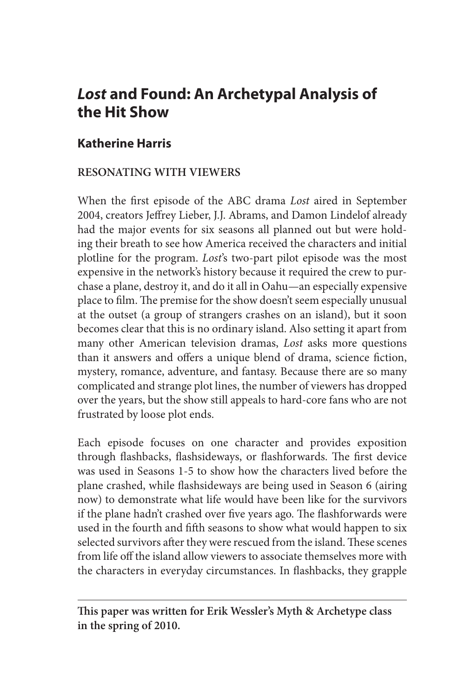# *Lost* **and Found: An Archetypal Analysis of the Hit Show**

# **Katherine Harris**

#### **RESONATING WITH VIEWERS**

When the first episode of the ABC drama *Lost* aired in September 2004, creators Jeffrey Lieber, J.J. Abrams, and Damon Lindelof already had the major events for six seasons all planned out but were holding their breath to see how America received the characters and initial plotline for the program. *Lost*'s two-part pilot episode was the most expensive in the network's history because it required the crew to purchase a plane, destroy it, and do it all in Oahu—an especially expensive place to film. The premise for the show doesn't seem especially unusual at the outset (a group of strangers crashes on an island), but it soon becomes clear that this is no ordinary island. Also setting it apart from many other American television dramas, *Lost* asks more questions than it answers and offers a unique blend of drama, science fiction, mystery, romance, adventure, and fantasy. Because there are so many complicated and strange plot lines, the number of viewers has dropped over the years, but the show still appeals to hard-core fans who are not frustrated by loose plot ends.

Each episode focuses on one character and provides exposition through flashbacks, flashsideways, or flashforwards. The first device was used in Seasons 1-5 to show how the characters lived before the plane crashed, while flashsideways are being used in Season 6 (airing now) to demonstrate what life would have been like for the survivors if the plane hadn't crashed over five years ago. The flashforwards were used in the fourth and fifth seasons to show what would happen to six selected survivors after they were rescued from the island. These scenes from life off the island allow viewers to associate themselves more with the characters in everyday circumstances. In flashbacks, they grapple

**This paper was written for Erik Wessler's Myth & Archetype class in the spring of 2010.**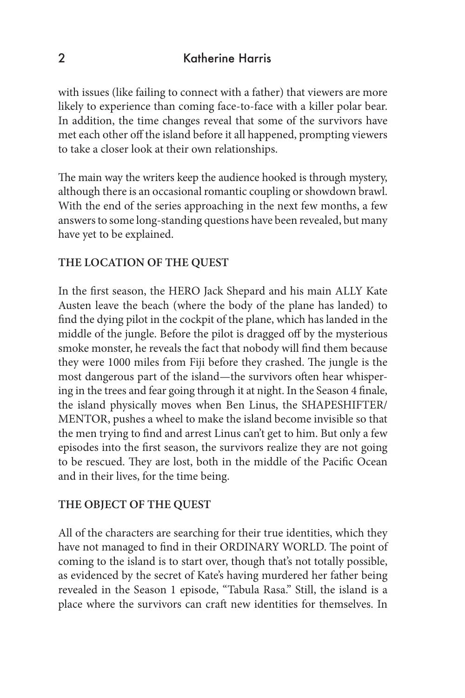with issues (like failing to connect with a father) that viewers are more likely to experience than coming face-to-face with a killer polar bear. In addition, the time changes reveal that some of the survivors have met each other off the island before it all happened, prompting viewers to take a closer look at their own relationships.

The main way the writers keep the audience hooked is through mystery, although there is an occasional romantic coupling or showdown brawl. With the end of the series approaching in the next few months, a few answers to some long-standing questions have been revealed, but many have yet to be explained.

#### **THE LOCATION OF THE QUEST**

In the first season, the HERO Jack Shepard and his main ALLY Kate Austen leave the beach (where the body of the plane has landed) to find the dying pilot in the cockpit of the plane, which has landed in the middle of the jungle. Before the pilot is dragged off by the mysterious smoke monster, he reveals the fact that nobody will find them because they were 1000 miles from Fiji before they crashed. The jungle is the most dangerous part of the island—the survivors often hear whispering in the trees and fear going through it at night. In the Season 4 finale, the island physically moves when Ben Linus, the SHAPESHIFTER/ MENTOR, pushes a wheel to make the island become invisible so that the men trying to find and arrest Linus can't get to him. But only a few episodes into the first season, the survivors realize they are not going to be rescued. They are lost, both in the middle of the Pacific Ocean and in their lives, for the time being.

#### **THE OBJECT OF THE QUEST**

All of the characters are searching for their true identities, which they have not managed to find in their ORDINARY WORLD. The point of coming to the island is to start over, though that's not totally possible, as evidenced by the secret of Kate's having murdered her father being revealed in the Season 1 episode, "Tabula Rasa." Still, the island is a place where the survivors can craft new identities for themselves. In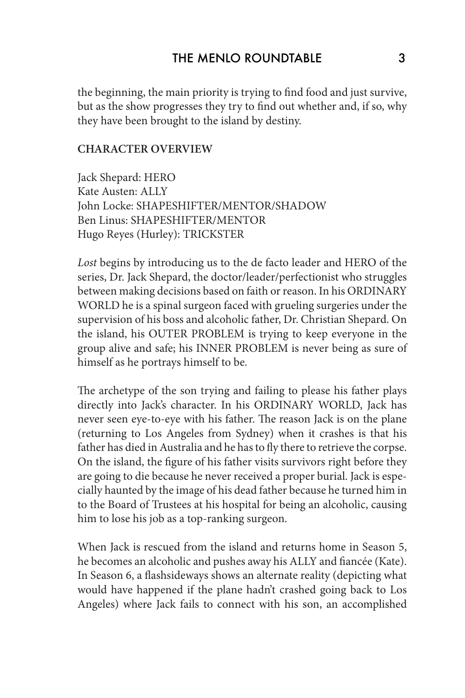the beginning, the main priority is trying to find food and just survive, but as the show progresses they try to find out whether and, if so, why they have been brought to the island by destiny.

#### **CHARACTER OVERVIEW**

Jack Shepard: HERO Kate Austen: ALLY John Locke: SHAPESHIFTER/MENTOR/SHADOW Ben Linus: SHAPESHIFTER/MENTOR Hugo Reyes (Hurley): TRICKSTER

*Lost* begins by introducing us to the de facto leader and HERO of the series, Dr. Jack Shepard, the doctor/leader/perfectionist who struggles between making decisions based on faith or reason. In his ORDINARY WORLD he is a spinal surgeon faced with grueling surgeries under the supervision of his boss and alcoholic father, Dr. Christian Shepard. On the island, his OUTER PROBLEM is trying to keep everyone in the group alive and safe; his INNER PROBLEM is never being as sure of himself as he portrays himself to be.

The archetype of the son trying and failing to please his father plays directly into Jack's character. In his ORDINARY WORLD, Jack has never seen eye-to-eye with his father. The reason Jack is on the plane (returning to Los Angeles from Sydney) when it crashes is that his father has died in Australia and he has to fly there to retrieve the corpse. On the island, the figure of his father visits survivors right before they are going to die because he never received a proper burial. Jack is especially haunted by the image of his dead father because he turned him in to the Board of Trustees at his hospital for being an alcoholic, causing him to lose his job as a top-ranking surgeon.

When Jack is rescued from the island and returns home in Season 5, he becomes an alcoholic and pushes away his ALLY and fiancée (Kate). In Season 6, a flashsideways shows an alternate reality (depicting what would have happened if the plane hadn't crashed going back to Los Angeles) where Jack fails to connect with his son, an accomplished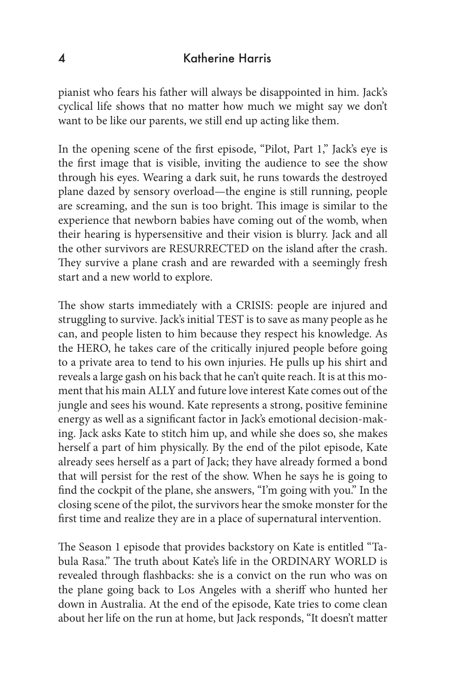#### 4 Katherine Harris

pianist who fears his father will always be disappointed in him. Jack's cyclical life shows that no matter how much we might say we don't want to be like our parents, we still end up acting like them.

In the opening scene of the first episode, "Pilot, Part 1," Jack's eye is the first image that is visible, inviting the audience to see the show through his eyes. Wearing a dark suit, he runs towards the destroyed plane dazed by sensory overload—the engine is still running, people are screaming, and the sun is too bright. This image is similar to the experience that newborn babies have coming out of the womb, when their hearing is hypersensitive and their vision is blurry. Jack and all the other survivors are RESURRECTED on the island after the crash. They survive a plane crash and are rewarded with a seemingly fresh start and a new world to explore.

The show starts immediately with a CRISIS: people are injured and struggling to survive. Jack's initial TEST is to save as many people as he can, and people listen to him because they respect his knowledge. As the HERO, he takes care of the critically injured people before going to a private area to tend to his own injuries. He pulls up his shirt and reveals a large gash on his back that he can't quite reach. It is at this moment that his main ALLY and future love interest Kate comes out of the jungle and sees his wound. Kate represents a strong, positive feminine energy as well as a significant factor in Jack's emotional decision-making. Jack asks Kate to stitch him up, and while she does so, she makes herself a part of him physically. By the end of the pilot episode, Kate already sees herself as a part of Jack; they have already formed a bond that will persist for the rest of the show. When he says he is going to find the cockpit of the plane, she answers, "I'm going with you." In the closing scene of the pilot, the survivors hear the smoke monster for the first time and realize they are in a place of supernatural intervention.

The Season 1 episode that provides backstory on Kate is entitled "Tabula Rasa." The truth about Kate's life in the ORDINARY WORLD is revealed through flashbacks: she is a convict on the run who was on the plane going back to Los Angeles with a sheriff who hunted her down in Australia. At the end of the episode, Kate tries to come clean about her life on the run at home, but Jack responds, "It doesn't matter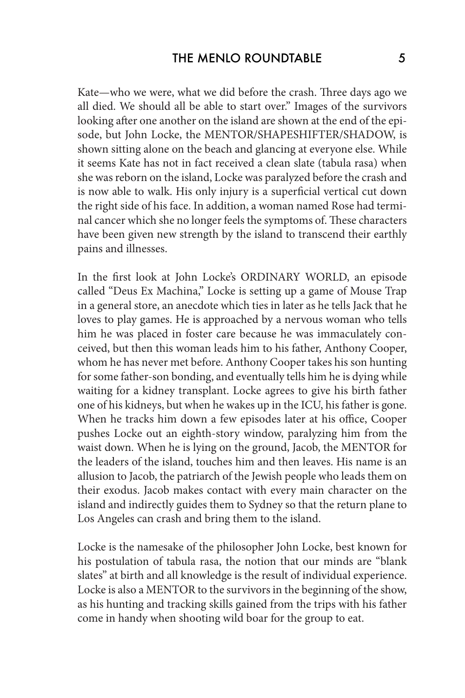Kate—who we were, what we did before the crash. Three days ago we all died. We should all be able to start over." Images of the survivors looking after one another on the island are shown at the end of the episode, but John Locke, the MENTOR/SHAPESHIFTER/SHADOW, is shown sitting alone on the beach and glancing at everyone else. While it seems Kate has not in fact received a clean slate (tabula rasa) when she was reborn on the island, Locke was paralyzed before the crash and is now able to walk. His only injury is a superficial vertical cut down the right side of his face. In addition, a woman named Rose had terminal cancer which she no longer feels the symptoms of. These characters have been given new strength by the island to transcend their earthly pains and illnesses.

In the first look at John Locke's ORDINARY WORLD, an episode called "Deus Ex Machina," Locke is setting up a game of Mouse Trap in a general store, an anecdote which ties in later as he tells Jack that he loves to play games. He is approached by a nervous woman who tells him he was placed in foster care because he was immaculately conceived, but then this woman leads him to his father, Anthony Cooper, whom he has never met before. Anthony Cooper takes his son hunting for some father-son bonding, and eventually tells him he is dying while waiting for a kidney transplant. Locke agrees to give his birth father one of his kidneys, but when he wakes up in the ICU, his father is gone. When he tracks him down a few episodes later at his office, Cooper pushes Locke out an eighth-story window, paralyzing him from the waist down. When he is lying on the ground, Jacob, the MENTOR for the leaders of the island, touches him and then leaves. His name is an allusion to Jacob, the patriarch of the Jewish people who leads them on their exodus. Jacob makes contact with every main character on the island and indirectly guides them to Sydney so that the return plane to Los Angeles can crash and bring them to the island.

Locke is the namesake of the philosopher John Locke, best known for his postulation of tabula rasa, the notion that our minds are "blank slates" at birth and all knowledge is the result of individual experience. Locke is also a MENTOR to the survivors in the beginning of the show, as his hunting and tracking skills gained from the trips with his father come in handy when shooting wild boar for the group to eat.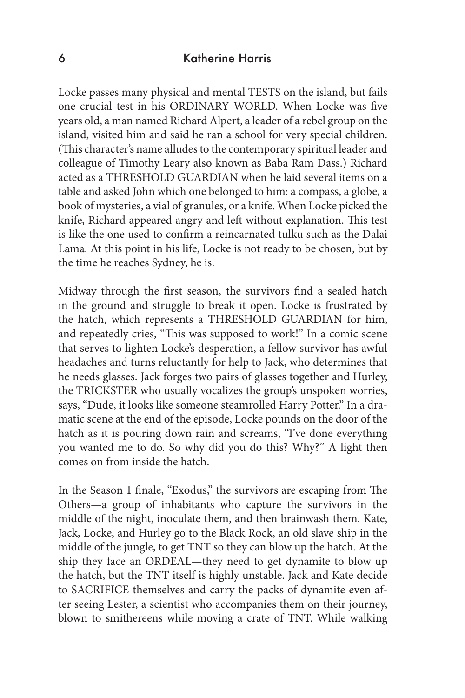#### 6 Katherine Harris

Locke passes many physical and mental TESTS on the island, but fails one crucial test in his ORDINARY WORLD. When Locke was five years old, a man named Richard Alpert, a leader of a rebel group on the island, visited him and said he ran a school for very special children. (This character's name alludes to the contemporary spiritual leader and colleague of Timothy Leary also known as Baba Ram Dass.) Richard acted as a THRESHOLD GUARDIAN when he laid several items on a table and asked John which one belonged to him: a compass, a globe, a book of mysteries, a vial of granules, or a knife. When Locke picked the knife, Richard appeared angry and left without explanation. This test is like the one used to confirm a reincarnated tulku such as the Dalai Lama. At this point in his life, Locke is not ready to be chosen, but by the time he reaches Sydney, he is.

Midway through the first season, the survivors find a sealed hatch in the ground and struggle to break it open. Locke is frustrated by the hatch, which represents a THRESHOLD GUARDIAN for him, and repeatedly cries, "This was supposed to work!" In a comic scene that serves to lighten Locke's desperation, a fellow survivor has awful headaches and turns reluctantly for help to Jack, who determines that he needs glasses. Jack forges two pairs of glasses together and Hurley, the TRICKSTER who usually vocalizes the group's unspoken worries, says, "Dude, it looks like someone steamrolled Harry Potter." In a dramatic scene at the end of the episode, Locke pounds on the door of the hatch as it is pouring down rain and screams, "I've done everything you wanted me to do. So why did you do this? Why?" A light then comes on from inside the hatch.

In the Season 1 finale, "Exodus," the survivors are escaping from The Others—a group of inhabitants who capture the survivors in the middle of the night, inoculate them, and then brainwash them. Kate, Jack, Locke, and Hurley go to the Black Rock, an old slave ship in the middle of the jungle, to get TNT so they can blow up the hatch. At the ship they face an ORDEAL—they need to get dynamite to blow up the hatch, but the TNT itself is highly unstable. Jack and Kate decide to SACRIFICE themselves and carry the packs of dynamite even after seeing Lester, a scientist who accompanies them on their journey, blown to smithereens while moving a crate of TNT. While walking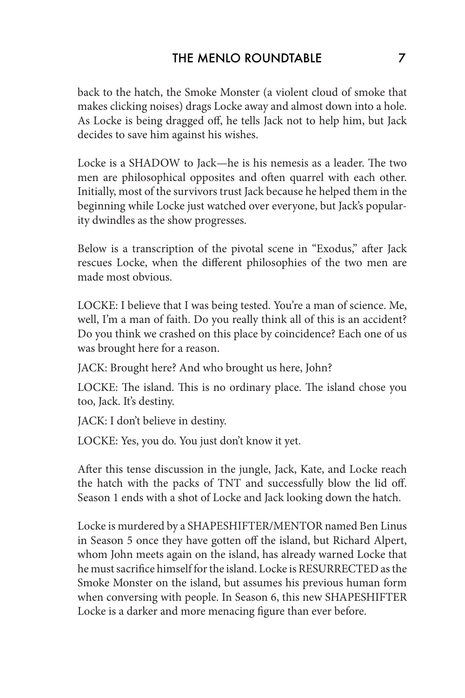back to the hatch, the Smoke Monster (a violent cloud of smoke that makes clicking noises) drags Locke away and almost down into a hole. As Locke is being dragged off, he tells Jack not to help him, but Jack decides to save him against his wishes.

Locke is a SHADOW to Jack—he is his nemesis as a leader. The two men are philosophical opposites and often quarrel with each other. Initially, most of the survivors trust Jack because he helped them in the beginning while Locke just watched over everyone, but Jack's popularity dwindles as the show progresses.

Below is a transcription of the pivotal scene in "Exodus," after Jack rescues Locke, when the different philosophies of the two men are made most obvious.

LOCKE: I believe that I was being tested. You're a man of science. Me, well, I'm a man of faith. Do you really think all of this is an accident? Do you think we crashed on this place by coincidence? Each one of us was brought here for a reason.

JACK: Brought here? And who brought us here, John?

LOCKE: The island. This is no ordinary place. The island chose you too, Jack. It's destiny.

JACK: I don't believe in destiny.

LOCKE: Yes, you do. You just don't know it yet.

After this tense discussion in the jungle, Jack, Kate, and Locke reach the hatch with the packs of TNT and successfully blow the lid off. Season 1 ends with a shot of Locke and Jack looking down the hatch.

Locke is murdered by a SHAPESHIFTER/MENTOR named Ben Linus in Season 5 once they have gotten off the island, but Richard Alpert, whom John meets again on the island, has already warned Locke that he must sacrifice himself for the island. Locke is RESURRECTED as the Smoke Monster on the island, but assumes his previous human form when conversing with people. In Season 6, this new SHAPESHIFTER Locke is a darker and more menacing figure than ever before.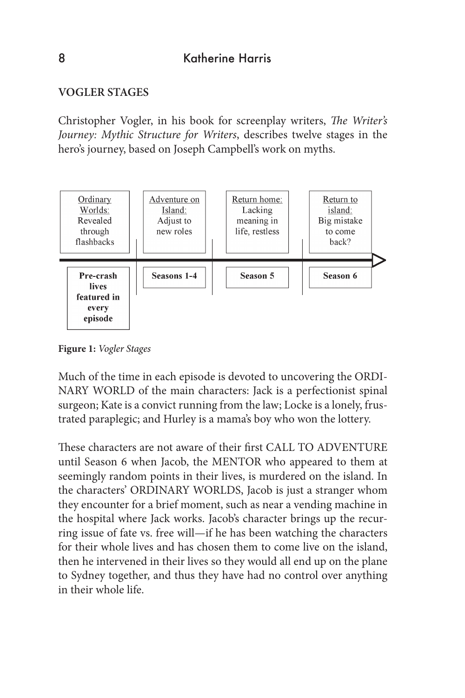## **VOGLER STAGES**

Christopher Vogler, in his book for screenplay writers, *The Writer's Journey: Mythic Structure for Writers*, describes twelve stages in the hero's journey, based on Joseph Campbell's work on myths.



**Figure 1:** *Vogler Stages*

Much of the time in each episode is devoted to uncovering the ORDI-NARY WORLD of the main characters: Jack is a perfectionist spinal surgeon; Kate is a convict running from the law; Locke is a lonely, frustrated paraplegic; and Hurley is a mama's boy who won the lottery.

These characters are not aware of their first CALL TO ADVENTURE until Season 6 when Jacob, the MENTOR who appeared to them at seemingly random points in their lives, is murdered on the island. In the characters' ORDINARY WORLDS, Jacob is just a stranger whom they encounter for a brief moment, such as near a vending machine in the hospital where Jack works. Jacob's character brings up the recurring issue of fate vs. free will—if he has been watching the characters for their whole lives and has chosen them to come live on the island, then he intervened in their lives so they would all end up on the plane to Sydney together, and thus they have had no control over anything in their whole life.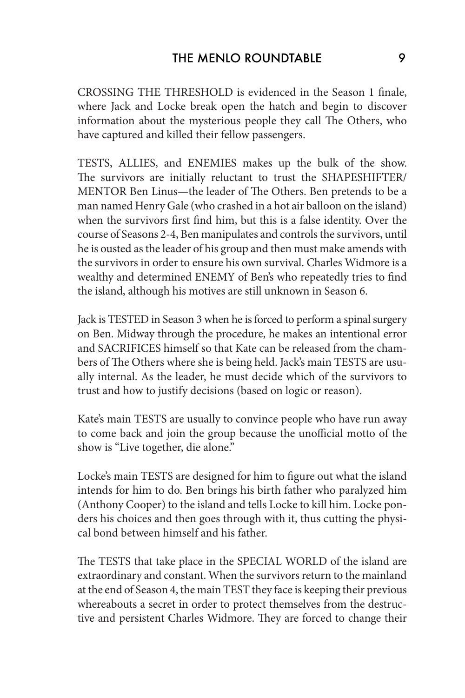CROSSING THE THRESHOLD is evidenced in the Season 1 finale, where Jack and Locke break open the hatch and begin to discover information about the mysterious people they call The Others, who have captured and killed their fellow passengers.

TESTS, ALLIES, and ENEMIES makes up the bulk of the show. The survivors are initially reluctant to trust the SHAPESHIFTER/ MENTOR Ben Linus—the leader of The Others. Ben pretends to be a man named Henry Gale (who crashed in a hot air balloon on the island) when the survivors first find him, but this is a false identity. Over the course of Seasons 2-4, Ben manipulates and controls the survivors, until he is ousted as the leader of his group and then must make amends with the survivors in order to ensure his own survival. Charles Widmore is a wealthy and determined ENEMY of Ben's who repeatedly tries to find the island, although his motives are still unknown in Season 6.

Jack is TESTED in Season 3 when he is forced to perform a spinal surgery on Ben. Midway through the procedure, he makes an intentional error and SACRIFICES himself so that Kate can be released from the chambers of The Others where she is being held. Jack's main TESTS are usually internal. As the leader, he must decide which of the survivors to trust and how to justify decisions (based on logic or reason).

Kate's main TESTS are usually to convince people who have run away to come back and join the group because the unofficial motto of the show is "Live together, die alone."

Locke's main TESTS are designed for him to figure out what the island intends for him to do. Ben brings his birth father who paralyzed him (Anthony Cooper) to the island and tells Locke to kill him. Locke ponders his choices and then goes through with it, thus cutting the physical bond between himself and his father.

The TESTS that take place in the SPECIAL WORLD of the island are extraordinary and constant. When the survivors return to the mainland at the end of Season 4, the main TEST they face is keeping their previous whereabouts a secret in order to protect themselves from the destructive and persistent Charles Widmore. They are forced to change their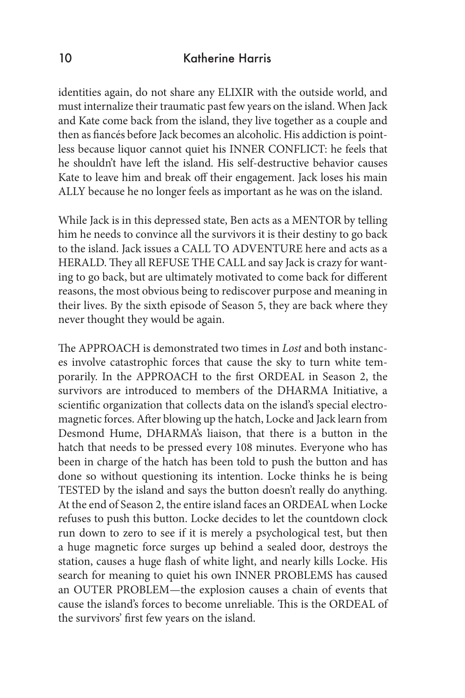#### 10 Katherine Harris

identities again, do not share any ELIXIR with the outside world, and must internalize their traumatic past few years on the island. When Jack and Kate come back from the island, they live together as a couple and then as fiancés before Jack becomes an alcoholic. His addiction is pointless because liquor cannot quiet his INNER CONFLICT: he feels that he shouldn't have left the island. His self-destructive behavior causes Kate to leave him and break off their engagement. Jack loses his main ALLY because he no longer feels as important as he was on the island.

While Jack is in this depressed state, Ben acts as a MENTOR by telling him he needs to convince all the survivors it is their destiny to go back to the island. Jack issues a CALL TO ADVENTURE here and acts as a HERALD. They all REFUSE THE CALL and say Jack is crazy for wanting to go back, but are ultimately motivated to come back for different reasons, the most obvious being to rediscover purpose and meaning in their lives. By the sixth episode of Season 5, they are back where they never thought they would be again.

The APPROACH is demonstrated two times in *Lost* and both instances involve catastrophic forces that cause the sky to turn white temporarily. In the APPROACH to the first ORDEAL in Season 2, the survivors are introduced to members of the DHARMA Initiative, a scientific organization that collects data on the island's special electromagnetic forces. After blowing up the hatch, Locke and Jack learn from Desmond Hume, DHARMA's liaison, that there is a button in the hatch that needs to be pressed every 108 minutes. Everyone who has been in charge of the hatch has been told to push the button and has done so without questioning its intention. Locke thinks he is being TESTED by the island and says the button doesn't really do anything. At the end of Season 2, the entire island faces an ORDEAL when Locke refuses to push this button. Locke decides to let the countdown clock run down to zero to see if it is merely a psychological test, but then a huge magnetic force surges up behind a sealed door, destroys the station, causes a huge flash of white light, and nearly kills Locke. His search for meaning to quiet his own INNER PROBLEMS has caused an OUTER PROBLEM—the explosion causes a chain of events that cause the island's forces to become unreliable. This is the ORDEAL of the survivors' first few years on the island.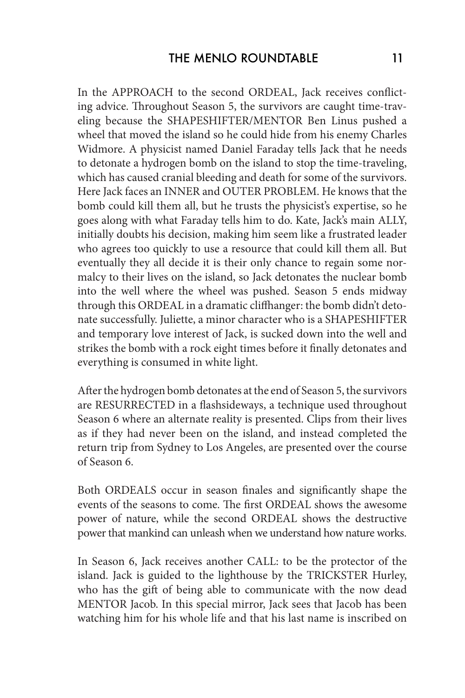In the APPROACH to the second ORDEAL, Jack receives conflicting advice. Throughout Season 5, the survivors are caught time-traveling because the SHAPESHIFTER/MENTOR Ben Linus pushed a wheel that moved the island so he could hide from his enemy Charles Widmore. A physicist named Daniel Faraday tells Jack that he needs to detonate a hydrogen bomb on the island to stop the time-traveling, which has caused cranial bleeding and death for some of the survivors. Here Jack faces an INNER and OUTER PROBLEM. He knows that the bomb could kill them all, but he trusts the physicist's expertise, so he goes along with what Faraday tells him to do. Kate, Jack's main ALLY, initially doubts his decision, making him seem like a frustrated leader who agrees too quickly to use a resource that could kill them all. But eventually they all decide it is their only chance to regain some normalcy to their lives on the island, so Jack detonates the nuclear bomb into the well where the wheel was pushed. Season 5 ends midway through this ORDEAL in a dramatic cliffhanger: the bomb didn't detonate successfully. Juliette, a minor character who is a SHAPESHIFTER and temporary love interest of Jack, is sucked down into the well and strikes the bomb with a rock eight times before it finally detonates and everything is consumed in white light.

After the hydrogen bomb detonates at the end of Season 5, the survivors are RESURRECTED in a flashsideways, a technique used throughout Season 6 where an alternate reality is presented. Clips from their lives as if they had never been on the island, and instead completed the return trip from Sydney to Los Angeles, are presented over the course of Season 6.

Both ORDEALS occur in season finales and significantly shape the events of the seasons to come. The first ORDEAL shows the awesome power of nature, while the second ORDEAL shows the destructive power that mankind can unleash when we understand how nature works.

In Season 6, Jack receives another CALL: to be the protector of the island. Jack is guided to the lighthouse by the TRICKSTER Hurley, who has the gift of being able to communicate with the now dead MENTOR Jacob. In this special mirror, Jack sees that Jacob has been watching him for his whole life and that his last name is inscribed on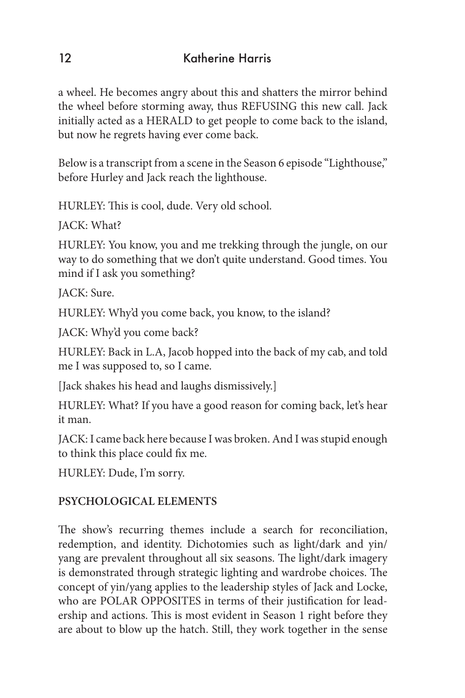a wheel. He becomes angry about this and shatters the mirror behind the wheel before storming away, thus REFUSING this new call. Jack initially acted as a HERALD to get people to come back to the island, but now he regrets having ever come back.

Below is a transcript from a scene in the Season 6 episode "Lighthouse," before Hurley and Jack reach the lighthouse.

HURLEY: This is cool, dude. Very old school.

JACK: What?

HURLEY: You know, you and me trekking through the jungle, on our way to do something that we don't quite understand. Good times. You mind if I ask you something?

JACK: Sure.

HURLEY: Why'd you come back, you know, to the island?

JACK: Why'd you come back?

HURLEY: Back in L.A, Jacob hopped into the back of my cab, and told me I was supposed to, so I came.

[Jack shakes his head and laughs dismissively.]

HURLEY: What? If you have a good reason for coming back, let's hear it man.

JACK: I came back here because I was broken. And I was stupid enough to think this place could fix me.

HURLEY: Dude, I'm sorry.

# **PSYCHOLOGICAL ELEMENTS**

The show's recurring themes include a search for reconciliation, redemption, and identity. Dichotomies such as light/dark and yin/ yang are prevalent throughout all six seasons. The light/dark imagery is demonstrated through strategic lighting and wardrobe choices. The concept of yin/yang applies to the leadership styles of Jack and Locke, who are POLAR OPPOSITES in terms of their justification for leadership and actions. This is most evident in Season 1 right before they are about to blow up the hatch. Still, they work together in the sense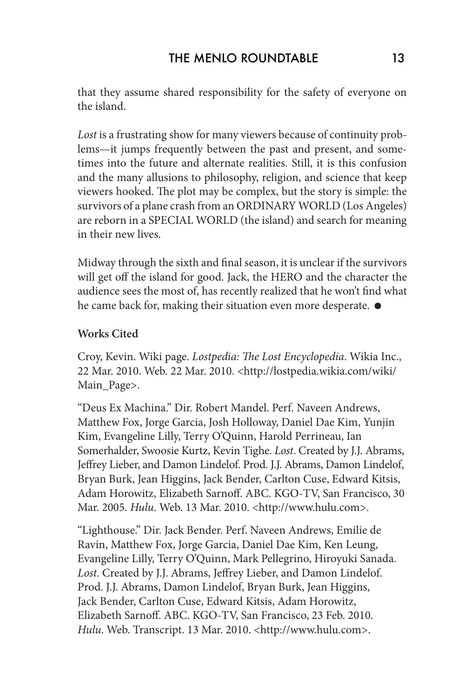that they assume shared responsibility for the safety of everyone on the island.

*Lost* is a frustrating show for many viewers because of continuity problems—it jumps frequently between the past and present, and sometimes into the future and alternate realities. Still, it is this confusion and the many allusions to philosophy, religion, and science that keep viewers hooked. The plot may be complex, but the story is simple: the survivors of a plane crash from an ORDINARY WORLD (Los Angeles) are reborn in a SPECIAL WORLD (the island) and search for meaning in their new lives.

Midway through the sixth and final season, it is unclear if the survivors will get off the island for good. Jack, the HERO and the character the audience sees the most of, has recently realized that he won't find what he came back for, making their situation even more desperate.  $\bullet$ 

### **Works Cited**

Croy, Kevin. Wiki page. *Lostpedia: The Lost Encyclopedia*. Wikia Inc., 22 Mar. 2010. Web. 22 Mar. 2010. <http://lostpedia.wikia.com/wiki/ Main\_Page>.

"Deus Ex Machina." Dir. Robert Mandel. Perf. Naveen Andrews, Matthew Fox, Jorge Garcia, Josh Holloway, Daniel Dae Kim, Yunjin Kim, Evangeline Lilly, Terry O'Quinn, Harold Perrineau, Ian Somerhalder, Swoosie Kurtz, Kevin Tighe. *Lost*. Created by J.J. Abrams, Jeffrey Lieber, and Damon Lindelof. Prod. J.J. Abrams, Damon Lindelof, Bryan Burk, Jean Higgins, Jack Bender, Carlton Cuse, Edward Kitsis, Adam Horowitz, Elizabeth Sarnoff. ABC. KGO-TV, San Francisco, 30 Mar. 2005. *Hulu*. Web. 13 Mar. 2010. <http://www.hulu.com>.

"Lighthouse." Dir. Jack Bender. Perf. Naveen Andrews, Emilie de Ravin, Matthew Fox, Jorge Garcia, Daniel Dae Kim, Ken Leung, Evangeline Lilly, Terry O'Quinn, Mark Pellegrino, Hiroyuki Sanada. *Lost*. Created by J.J. Abrams, Jeffrey Lieber, and Damon Lindelof. Prod. J.J. Abrams, Damon Lindelof, Bryan Burk, Jean Higgins, Jack Bender, Carlton Cuse, Edward Kitsis, Adam Horowitz, Elizabeth Sarnoff. ABC. KGO-TV, San Francisco, 23 Feb. 2010. *Hulu*. Web. Transcript. 13 Mar. 2010. <http://www.hulu.com>.